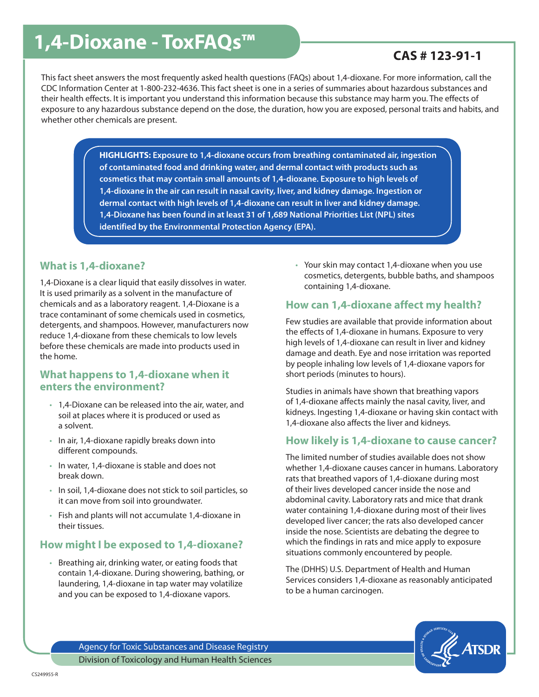# **1,4-Dioxane - ToxFAQs<sup>™</sup> 2000 CAS # 123-91-1**

This fact sheet answers the most frequently asked health questions (FAQs) about 1,4-dioxane. For more information, call the CDC Information Center at 1-800-232-4636. This fact sheet is one in a series of summaries about hazardous substances and their health effects. It is important you understand this information because this substance may harm you. The effects of exposure to any hazardous substance depend on the dose, the duration, how you are exposed, personal traits and habits, and whether other chemicals are present.

> **HIGHLIGHTS: Exposure to 1,4-dioxane occurs from breathing contaminated air, ingestion of contaminated food and drinking water, and dermal contact with products such as cosmetics that may contain small amounts of 1,4-dioxane. Exposure to high levels of 1,4-dioxane in the air can result in nasal cavity, liver, and kidney damage. Ingestion or dermal contact with high levels of 1,4-dioxane can result in liver and kidney damage. 1,4-Dioxane has been found in at least 31 of 1,689 National Priorities List (NPL) sites identified by the Environmental Protection Agency (EPA).**

# **What is 1,4-dioxane?**

1,4-Dioxane is a clear liquid that easily dissolves in water. It is used primarily as a solvent in the manufacture of chemicals and as a laboratory reagent. 1,4-Dioxane is a trace contaminant of some chemicals used in cosmetics, detergents, and shampoos. However, manufacturers now reduce 1,4-dioxane from these chemicals to low levels before these chemicals are made into products used in the home.

# **What happens to 1,4-dioxane when it enters the environment?**

- 1,4-Dioxane can be released into the air, water, and soil at places where it is produced or used as a solvent.
- In air, 1,4-dioxane rapidly breaks down into different compounds.
- In water, 1,4-dioxane is stable and does not break down.
- In soil, 1,4-dioxane does not stick to soil particles, so it can move from soil into groundwater.
- Fish and plants will not accumulate 1,4-dioxane in their tissues.

# **How might I be exposed to 1,4-dioxane?**

• Breathing air, drinking water, or eating foods that contain 1,4-dioxane. During showering, bathing, or laundering, 1,4-dioxane in tap water may volatilize and you can be exposed to 1,4-dioxane vapors.

• Your skin may contact 1,4-dioxane when you use cosmetics, detergents, bubble baths, and shampoos containing 1,4-dioxane.

# **How can 1,4-dioxane affect my health?**

Few studies are available that provide information about the effects of 1,4-dioxane in humans. Exposure to very high levels of 1,4-dioxane can result in liver and kidney damage and death. Eye and nose irritation was reported by people inhaling low levels of 1,4-dioxane vapors for short periods (minutes to hours).

Studies in animals have shown that breathing vapors of 1,4-dioxane affects mainly the nasal cavity, liver, and kidneys. Ingesting 1,4-dioxane or having skin contact with 1,4-dioxane also affects the liver and kidneys.

# **How likely is 1,4-dioxane to cause cancer?**

The limited number of studies available does not show whether 1,4-dioxane causes cancer in humans. Laboratory rats that breathed vapors of 1,4-dioxane during most of their lives developed cancer inside the nose and abdominal cavity. Laboratory rats and mice that drank water containing 1,4-dioxane during most of their lives developed liver cancer; the rats also developed cancer inside the nose. Scientists are debating the degree to which the findings in rats and mice apply to exposure situations commonly encountered by people.

The (DHHS) U.S. Department of Health and Human Services considers 1,4-dioxane as reasonably anticipated to be a human carcinogen.



Agency for Toxic Substances and Disease Registry Division of Toxicology and Human Health Sciences